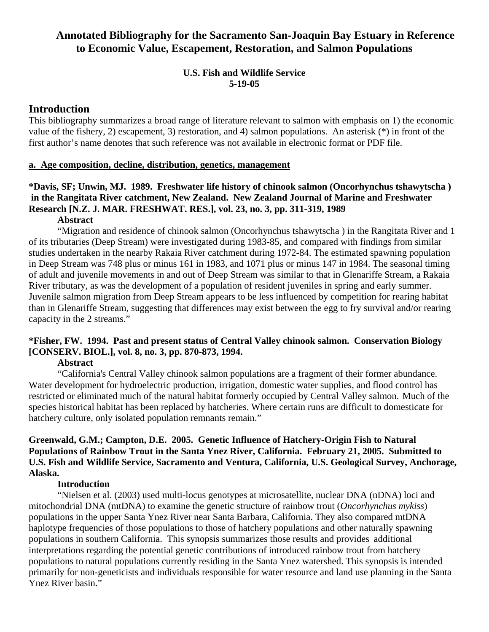# **Annotated Bibliography for the Sacramento San-Joaquin Bay Estuary in Reference to Economic Value, Escapement, Restoration, and Salmon Populations**

# **U.S. Fish and Wildlife Service 5-19-05**

# **Introduction**

This bibliography summarizes a broad range of literature relevant to salmon with emphasis on 1) the economic value of the fishery, 2) escapement, 3) restoration, and 4) salmon populations. An asterisk (\*) in front of the first author's name denotes that such reference was not available in electronic format or PDF file.

#### **a. Age composition, decline, distribution, genetics, management**

# **\*Davis, SF; Unwin, MJ. 1989. Freshwater life history of chinook salmon (Oncorhynchus tshawytscha ) in the Rangitata River catchment, New Zealand. New Zealand Journal of Marine and Freshwater Research [N.Z. J. MAR. FRESHWAT. RES.], vol. 23, no. 3, pp. 311-319, 1989**

#### **Abstract**

 "Migration and residence of chinook salmon (Oncorhynchus tshawytscha ) in the Rangitata River and 1 of its tributaries (Deep Stream) were investigated during 1983-85, and compared with findings from similar studies undertaken in the nearby Rakaia River catchment during 1972-84. The estimated spawning population in Deep Stream was 748 plus or minus 161 in 1983, and 1071 plus or minus 147 in 1984. The seasonal timing of adult and juvenile movements in and out of Deep Stream was similar to that in Glenariffe Stream, a Rakaia River tributary, as was the development of a population of resident juveniles in spring and early summer. Juvenile salmon migration from Deep Stream appears to be less influenced by competition for rearing habitat than in Glenariffe Stream, suggesting that differences may exist between the egg to fry survival and/or rearing capacity in the 2 streams."

# **\*Fisher, FW. 1994. Past and present status of Central Valley chinook salmon. Conservation Biology [CONSERV. BIOL.], vol. 8, no. 3, pp. 870-873, 1994.**

#### **Abstract**

 "California's Central Valley chinook salmon populations are a fragment of their former abundance. Water development for hydroelectric production, irrigation, domestic water supplies, and flood control has restricted or eliminated much of the natural habitat formerly occupied by Central Valley salmon. Much of the species historical habitat has been replaced by hatcheries. Where certain runs are difficult to domesticate for hatchery culture, only isolated population remnants remain."

## **Greenwald, G.M.; Campton, D.E. 2005. Genetic Influence of Hatchery-Origin Fish to Natural Populations of Rainbow Trout in the Santa Ynez River, California. February 21, 2005. Submitted to U.S. Fish and Wildlife Service, Sacramento and Ventura, California, U.S. Geological Survey, Anchorage, Alaska.**

#### **Introduction**

 "Nielsen et al. (2003) used multi-locus genotypes at microsatellite, nuclear DNA (nDNA) loci and mitochondrial DNA (mtDNA) to examine the genetic structure of rainbow trout (*Oncorhynchus mykiss*) populations in the upper Santa Ynez River near Santa Barbara, California. They also compared mtDNA haplotype frequencies of those populations to those of hatchery populations and other naturally spawning populations in southern California. This synopsis summarizes those results and provides additional interpretations regarding the potential genetic contributions of introduced rainbow trout from hatchery populations to natural populations currently residing in the Santa Ynez watershed. This synopsis is intended primarily for non-geneticists and individuals responsible for water resource and land use planning in the Santa Ynez River basin."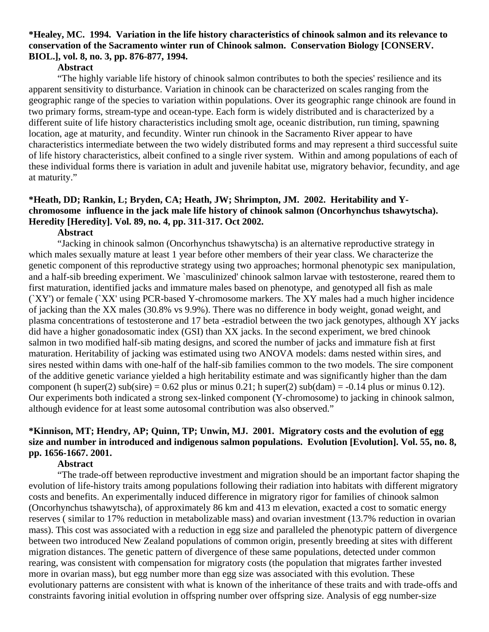#### **\*Healey, MC. 1994. Variation in the life history characteristics of chinook salmon and its relevance to conservation of the Sacramento winter run of Chinook salmon. Conservation Biology [CONSERV. BIOL.], vol. 8, no. 3, pp. 876-877, 1994.**

#### **Abstract**

 "The highly variable life history of chinook salmon contributes to both the species' resilience and its apparent sensitivity to disturbance. Variation in chinook can be characterized on scales ranging from the geographic range of the species to variation within populations. Over its geographic range chinook are found in two primary forms, stream-type and ocean-type. Each form is widely distributed and is characterized by a different suite of life history characteristics including smolt age, oceanic distribution, run timing, spawning location, age at maturity, and fecundity. Winter run chinook in the Sacramento River appear to have characteristics intermediate between the two widely distributed forms and may represent a third successful suite of life history characteristics, albeit confined to a single river system. Within and among populations of each of these individual forms there is variation in adult and juvenile habitat use, migratory behavior, fecundity, and age at maturity."

# **\*Heath, DD; Rankin, L; Bryden, CA; Heath, JW; Shrimpton, JM. 2002. Heritability and Ychromosome influence in the jack male life history of chinook salmon (Oncorhynchus tshawytscha). Heredity [Heredity]. Vol. 89, no. 4, pp. 311-317. Oct 2002.**

#### **Abstract**

 "Jacking in chinook salmon (Oncorhynchus tshawytscha) is an alternative reproductive strategy in which males sexually mature at least 1 year before other members of their year class. We characterize the genetic component of this reproductive strategy using two approaches; hormonal phenotypic sex manipulation, and a half-sib breeding experiment. We `masculinized' chinook salmon larvae with testosterone, reared them to first maturation, identified jacks and immature males based on phenotype, and genotyped all fish as male (`XY') or female (`XX' using PCR-based Y-chromosome markers. The XY males had a much higher incidence of jacking than the XX males (30.8% vs 9.9%). There was no difference in body weight, gonad weight, and plasma concentrations of testosterone and 17 beta -estradiol between the two jack genotypes, although XY jacks did have a higher gonadosomatic index (GSI) than XX jacks. In the second experiment, we bred chinook salmon in two modified half-sib mating designs, and scored the number of jacks and immature fish at first maturation. Heritability of jacking was estimated using two ANOVA models: dams nested within sires, and sires nested within dams with one-half of the half-sib families common to the two models. The sire component of the additive genetic variance yielded a high heritability estimate and was significantly higher than the dam component (h super(2) sub(sire) = 0.62 plus or minus 0.21; h super(2) sub(dam) = -0.14 plus or minus 0.12). Our experiments both indicated a strong sex-linked component (Y-chromosome) to jacking in chinook salmon, although evidence for at least some autosomal contribution was also observed."

## **\*Kinnison, MT; Hendry, AP; Quinn, TP; Unwin, MJ. 2001. Migratory costs and the evolution of egg size and number in introduced and indigenous salmon populations. Evolution [Evolution]. Vol. 55, no. 8, pp. 1656-1667. 2001.**

#### **Abstract**

 "The trade-off between reproductive investment and migration should be an important factor shaping the evolution of life-history traits among populations following their radiation into habitats with different migratory costs and benefits. An experimentally induced difference in migratory rigor for families of chinook salmon (Oncorhynchus tshawytscha), of approximately 86 km and 413 m elevation, exacted a cost to somatic energy reserves ( similar to 17% reduction in metabolizable mass) and ovarian investment (13.7% reduction in ovarian mass). This cost was associated with a reduction in egg size and paralleled the phenotypic pattern of divergence between two introduced New Zealand populations of common origin, presently breeding at sites with different migration distances. The genetic pattern of divergence of these same populations, detected under common rearing, was consistent with compensation for migratory costs (the population that migrates farther invested more in ovarian mass), but egg number more than egg size was associated with this evolution. These evolutionary patterns are consistent with what is known of the inheritance of these traits and with trade-offs and constraints favoring initial evolution in offspring number over offspring size. Analysis of egg number-size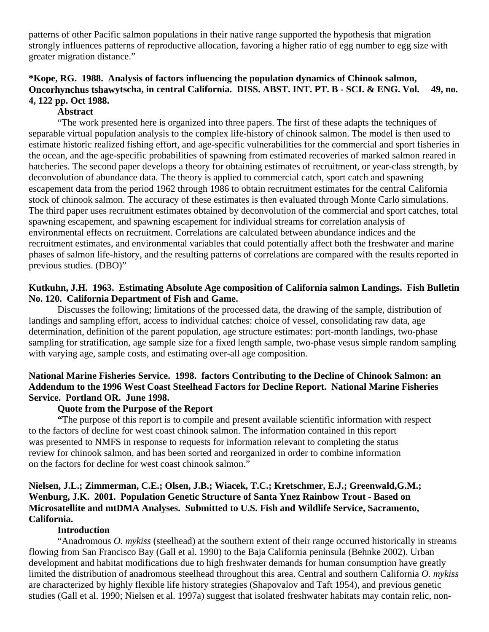patterns of other Pacific salmon populations in their native range supported the hypothesis that migration strongly influences patterns of reproductive allocation, favoring a higher ratio of egg number to egg size with greater migration distance."

# **\*Kope, RG. 1988. Analysis of factors influencing the population dynamics of Chinook salmon, Oncorhynchus tshawytscha, in central California. DISS. ABST. INT. PT. B - SCI. & ENG. Vol. 49, no. 4, 122 pp. Oct 1988.**

### **Abstract**

 "The work presented here is organized into three papers. The first of these adapts the techniques of separable virtual population analysis to the complex life-history of chinook salmon. The model is then used to estimate historic realized fishing effort, and age-specific vulnerabilities for the commercial and sport fisheries in the ocean, and the age-specific probabilities of spawning from estimated recoveries of marked salmon reared in hatcheries. The second paper develops a theory for obtaining estimates of recruitment, or year-class strength, by deconvolution of abundance data. The theory is applied to commercial catch, sport catch and spawning escapement data from the period 1962 through 1986 to obtain recruitment estimates for the central California stock of chinook salmon. The accuracy of these estimates is then evaluated through Monte Carlo simulations. The third paper uses recruitment estimates obtained by deconvolution of the commercial and sport catches, total spawning escapement, and spawning escapement for individual streams for correlation analysis of environmental effects on recruitment. Correlations are calculated between abundance indices and the recruitment estimates, and environmental variables that could potentially affect both the freshwater and marine phases of salmon life-history, and the resulting patterns of correlations are compared with the results reported in previous studies. (DBO)"

## **Kutkuhn, J.H. 1963. Estimating Absolute Age composition of California salmon Landings. Fish Bulletin No. 120. California Department of Fish and Game.**

 Discusses the following; limitations of the processed data, the drawing of the sample, distribution of landings and sampling effort, access to individual catches: choice of vessel, consolidating raw data, age determination, definition of the parent population, age structure estimates: port-month landings, two-phase sampling for stratification, age sample size for a fixed length sample, two-phase vesus simple random sampling with varying age, sample costs, and estimating over-all age composition.

# **National Marine Fisheries Service. 1998. factors Contributing to the Decline of Chinook Salmon: an Addendum to the 1996 West Coast Steelhead Factors for Decline Report. National Marine Fisheries Service. Portland OR. June 1998.**

#### **Quote from the Purpose of the Report**

 **"**The purpose of this report is to compile and present available scientific information with respect to the factors of decline for west coast chinook salmon. The information contained in this report was presented to NMFS in response to requests for information relevant to completing the status review for chinook salmon, and has been sorted and reorganized in order to combine information on the factors for decline for west coast chinook salmon."

# **Nielsen, J.L.; Zimmerman, C.E.; Olsen, J.B.; Wiacek, T.C.; Kretschmer, E.J.; Greenwald,G.M.; Wenburg, J.K. 2001. Population Genetic Structure of Santa Ynez Rainbow Trout - Based on Microsatellite and mtDMA Analyses. Submitted to U.S. Fish and Wildlife Service, Sacramento, California.**

#### **Introduction**

 "Anadromous *O. mykiss* (steelhead) at the southern extent of their range occurred historically in streams flowing from San Francisco Bay (Gall et al. 1990) to the Baja California peninsula (Behnke 2002). Urban development and habitat modifications due to high freshwater demands for human consumption have greatly limited the distribution of anadromous steelhead throughout this area. Central and southern California *O. mykiss*  are characterized by highly flexible life history strategies (Shapovalov and Taft 1954), and previous genetic studies (Gall et al. 1990; Nielsen et al. 1997a) suggest that isolated freshwater habitats may contain relic, non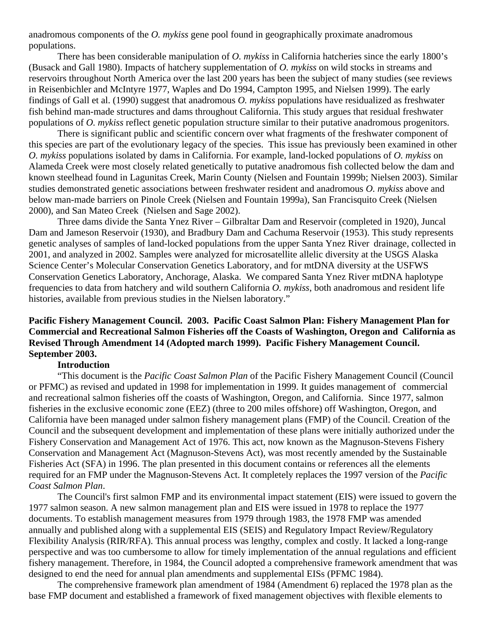anadromous components of the *O. mykiss* gene pool found in geographically proximate anadromous populations.

 There has been considerable manipulation of *O. mykiss* in California hatcheries since the early 1800's (Busack and Gall 1980). Impacts of hatchery supplementation of *O. mykiss* on wild stocks in streams and reservoirs throughout North America over the last 200 years has been the subject of many studies (see reviews in Reisenbichler and McIntyre 1977, Waples and Do 1994, Campton 1995, and Nielsen 1999). The early findings of Gall et al. (1990) suggest that anadromous *O. mykiss* populations have residualized as freshwater fish behind man-made structures and dams throughout California. This study argues that residual freshwater populations of *O. mykiss* reflect genetic population structure similar to their putative anadromous progenitors.

 There is significant public and scientific concern over what fragments of the freshwater component of this species are part of the evolutionary legacy of the species. This issue has previously been examined in other *O. mykiss* populations isolated by dams in California. For example, land-locked populations of *O. mykiss* on Alameda Creek were most closely related genetically to putative anadromous fish collected below the dam and known steelhead found in Lagunitas Creek, Marin County (Nielsen and Fountain 1999b; Nielsen 2003). Similar studies demonstrated genetic associations between freshwater resident and anadromous *O. mykiss* above and below man-made barriers on Pinole Creek (Nielsen and Fountain 1999a), San Francisquito Creek (Nielsen 2000), and San Mateo Creek (Nielsen and Sage 2002).

 Three dams divide the Santa Ynez River – Gilbraltar Dam and Reservoir (completed in 1920), Juncal Dam and Jameson Reservoir (1930), and Bradbury Dam and Cachuma Reservoir (1953). This study represents genetic analyses of samples of land-locked populations from the upper Santa Ynez River drainage, collected in 2001, and analyzed in 2002. Samples were analyzed for microsatellite allelic diversity at the USGS Alaska Science Center's Molecular Conservation Genetics Laboratory, and for mtDNA diversity at the USFWS Conservation Genetics Laboratory, Anchorage, Alaska. We compared Santa Ynez River mtDNA haplotype frequencies to data from hatchery and wild southern California *O. mykiss*, both anadromous and resident life histories, available from previous studies in the Nielsen laboratory."

### **Pacific Fishery Management Council. 2003. Pacific Coast Salmon Plan: Fishery Management Plan for Commercial and Recreational Salmon Fisheries off the Coasts of Washington, Oregon and California as Revised Through Amendment 14 (Adopted march 1999). Pacific Fishery Management Council. September 2003.**

#### **Introduction**

 "This document is the *Pacific Coast Salmon Plan* of the Pacific Fishery Management Council (Council or PFMC) as revised and updated in 1998 for implementation in 1999. It guides management of commercial and recreational salmon fisheries off the coasts of Washington, Oregon, and California. Since 1977, salmon fisheries in the exclusive economic zone (EEZ) (three to 200 miles offshore) off Washington, Oregon, and California have been managed under salmon fishery management plans (FMP) of the Council. Creation of the Council and the subsequent development and implementation of these plans were initially authorized under the Fishery Conservation and Management Act of 1976. This act, now known as the Magnuson-Stevens Fishery Conservation and Management Act (Magnuson-Stevens Act), was most recently amended by the Sustainable Fisheries Act (SFA) in 1996. The plan presented in this document contains or references all the elements required for an FMP under the Magnuson-Stevens Act. It completely replaces the 1997 version of the *Pacific Coast Salmon Plan*.

 The Council's first salmon FMP and its environmental impact statement (EIS) were issued to govern the 1977 salmon season. A new salmon management plan and EIS were issued in 1978 to replace the 1977 documents. To establish management measures from 1979 through 1983, the 1978 FMP was amended annually and published along with a supplemental EIS (SEIS) and Regulatory Impact Review/Regulatory Flexibility Analysis (RIR/RFA). This annual process was lengthy, complex and costly. It lacked a long-range perspective and was too cumbersome to allow for timely implementation of the annual regulations and efficient fishery management. Therefore, in 1984, the Council adopted a comprehensive framework amendment that was designed to end the need for annual plan amendments and supplemental EISs (PFMC 1984).

 The comprehensive framework plan amendment of 1984 (Amendment 6) replaced the 1978 plan as the base FMP document and established a framework of fixed management objectives with flexible elements to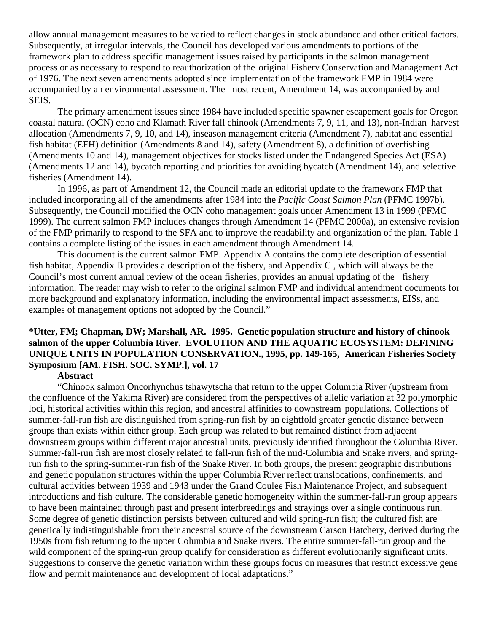allow annual management measures to be varied to reflect changes in stock abundance and other critical factors. Subsequently, at irregular intervals, the Council has developed various amendments to portions of the framework plan to address specific management issues raised by participants in the salmon management process or as necessary to respond to reauthorization of the original Fishery Conservation and Management Act of 1976. The next seven amendments adopted since implementation of the framework FMP in 1984 were accompanied by an environmental assessment. The most recent, Amendment 14, was accompanied by and SEIS.

 The primary amendment issues since 1984 have included specific spawner escapement goals for Oregon coastal natural (OCN) coho and Klamath River fall chinook (Amendments 7, 9, 11, and 13), non-Indian harvest allocation (Amendments 7, 9, 10, and 14), inseason management criteria (Amendment 7), habitat and essential fish habitat (EFH) definition (Amendments 8 and 14), safety (Amendment 8), a definition of overfishing (Amendments 10 and 14), management objectives for stocks listed under the Endangered Species Act (ESA) (Amendments 12 and 14), bycatch reporting and priorities for avoiding bycatch (Amendment 14), and selective fisheries (Amendment 14).

 In 1996, as part of Amendment 12, the Council made an editorial update to the framework FMP that included incorporating all of the amendments after 1984 into the *Pacific Coast Salmon Plan* (PFMC 1997b). Subsequently, the Council modified the OCN coho management goals under Amendment 13 in 1999 (PFMC 1999). The current salmon FMP includes changes through Amendment 14 (PFMC 2000a), an extensive revision of the FMP primarily to respond to the SFA and to improve the readability and organization of the plan. Table 1 contains a complete listing of the issues in each amendment through Amendment 14.

 This document is the current salmon FMP. Appendix A contains the complete description of essential fish habitat, Appendix B provides a description of the fishery, and Appendix C , which will always be the Council's most current annual review of the ocean fisheries, provides an annual updating of the fishery information. The reader may wish to refer to the original salmon FMP and individual amendment documents for more background and explanatory information, including the environmental impact assessments, EISs, and examples of management options not adopted by the Council."

# **\*Utter, FM; Chapman, DW; Marshall, AR. 1995. Genetic population structure and history of chinook salmon of the upper Columbia River. EVOLUTION AND THE AQUATIC ECOSYSTEM: DEFINING UNIQUE UNITS IN POPULATION CONSERVATION., 1995, pp. 149-165, American Fisheries Society Symposium [AM. FISH. SOC. SYMP.], vol. 17**

#### **Abstract**

 "Chinook salmon Oncorhynchus tshawytscha that return to the upper Columbia River (upstream from the confluence of the Yakima River) are considered from the perspectives of allelic variation at 32 polymorphic loci, historical activities within this region, and ancestral affinities to downstream populations. Collections of summer-fall-run fish are distinguished from spring-run fish by an eightfold greater genetic distance between groups than exists within either group. Each group was related to but remained distinct from adjacent downstream groups within different major ancestral units, previously identified throughout the Columbia River. Summer-fall-run fish are most closely related to fall-run fish of the mid-Columbia and Snake rivers, and springrun fish to the spring-summer-run fish of the Snake River. In both groups, the present geographic distributions and genetic population structures within the upper Columbia River reflect translocations, confinements, and cultural activities between 1939 and 1943 under the Grand Coulee Fish Maintenance Project, and subsequent introductions and fish culture. The considerable genetic homogeneity within the summer-fall-run group appears to have been maintained through past and present interbreedings and strayings over a single continuous run. Some degree of genetic distinction persists between cultured and wild spring-run fish; the cultured fish are genetically indistinguishable from their ancestral source of the downstream Carson Hatchery, derived during the 1950s from fish returning to the upper Columbia and Snake rivers. The entire summer-fall-run group and the wild component of the spring-run group qualify for consideration as different evolutionarily significant units. Suggestions to conserve the genetic variation within these groups focus on measures that restrict excessive gene flow and permit maintenance and development of local adaptations."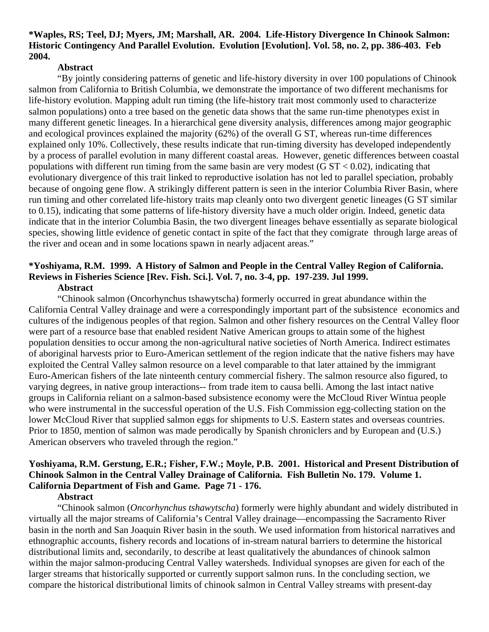#### **\*Waples, RS; Teel, DJ; Myers, JM; Marshall, AR. 2004. Life-History Divergence In Chinook Salmon: Historic Contingency And Parallel Evolution. Evolution [Evolution]. Vol. 58, no. 2, pp. 386-403. Feb 2004.**

#### **Abstract**

 "By jointly considering patterns of genetic and life-history diversity in over 100 populations of Chinook salmon from California to British Columbia, we demonstrate the importance of two different mechanisms for life-history evolution. Mapping adult run timing (the life-history trait most commonly used to characterize salmon populations) onto a tree based on the genetic data shows that the same run-time phenotypes exist in many different genetic lineages. In a hierarchical gene diversity analysis, differences among major geographic and ecological provinces explained the majority (62%) of the overall G ST, whereas run-time differences explained only 10%. Collectively, these results indicate that run-timing diversity has developed independently by a process of parallel evolution in many different coastal areas. However, genetic differences between coastal populations with different run timing from the same basin are very modest  $(G ST < 0.02)$ , indicating that evolutionary divergence of this trait linked to reproductive isolation has not led to parallel speciation, probably because of ongoing gene flow. A strikingly different pattern is seen in the interior Columbia River Basin, where run timing and other correlated life-history traits map cleanly onto two divergent genetic lineages (G ST similar to 0.15), indicating that some patterns of life-history diversity have a much older origin. Indeed, genetic data indicate that in the interior Columbia Basin, the two divergent lineages behave essentially as separate biological species, showing little evidence of genetic contact in spite of the fact that they comigrate through large areas of the river and ocean and in some locations spawn in nearly adjacent areas."

#### **\*Yoshiyama, R.M. 1999. A History of Salmon and People in the Central Valley Region of California. Reviews in Fisheries Science [Rev. Fish. Sci.]. Vol. 7, no. 3-4, pp. 197-239. Jul 1999. Abstract**

 "Chinook salmon (Oncorhynchus tshawytscha) formerly occurred in great abundance within the California Central Valley drainage and were a correspondingly important part of the subsistence economics and cultures of the indigenous peoples of that region. Salmon and other fishery resources on the Central Valley floor were part of a resource base that enabled resident Native American groups to attain some of the highest population densities to occur among the non-agricultural native societies of North America. Indirect estimates of aboriginal harvests prior to Euro-American settlement of the region indicate that the native fishers may have exploited the Central Valley salmon resource on a level comparable to that later attained by the immigrant Euro-American fishers of the late ninteenth century commercial fishery. The salmon resource also figured, to varying degrees, in native group interactions-- from trade item to causa belli. Among the last intact native groups in California reliant on a salmon-based subsistence economy were the McCloud River Wintua people who were instrumental in the successful operation of the U.S. Fish Commission egg-collecting station on the lower McCloud River that supplied salmon eggs for shipments to U.S. Eastern states and overseas countries. Prior to 1850, mention of salmon was made perodically by Spanish chroniclers and by European and (U.S.) American observers who traveled through the region."

# **Yoshiyama, R.M. Gerstung, E.R.; Fisher, F.W.; Moyle, P.B. 2001. Historical and Present Distribution of Chinook Salmon in the Central Valley Drainage of California. Fish Bulletin No. 179. Volume 1. California Department of Fish and Game. Page 71 - 176.**

#### **Abstract**

 "Chinook salmon (*Oncorhynchus tshawytscha*) formerly were highly abundant and widely distributed in virtually all the major streams of California's Central Valley drainage—encompassing the Sacramento River basin in the north and San Joaquin River basin in the south. We used information from historical narratives and ethnographic accounts, fishery records and locations of in-stream natural barriers to determine the historical distributional limits and, secondarily, to describe at least qualitatively the abundances of chinook salmon within the major salmon-producing Central Valley watersheds. Individual synopses are given for each of the larger streams that historically supported or currently support salmon runs. In the concluding section, we compare the historical distributional limits of chinook salmon in Central Valley streams with present-day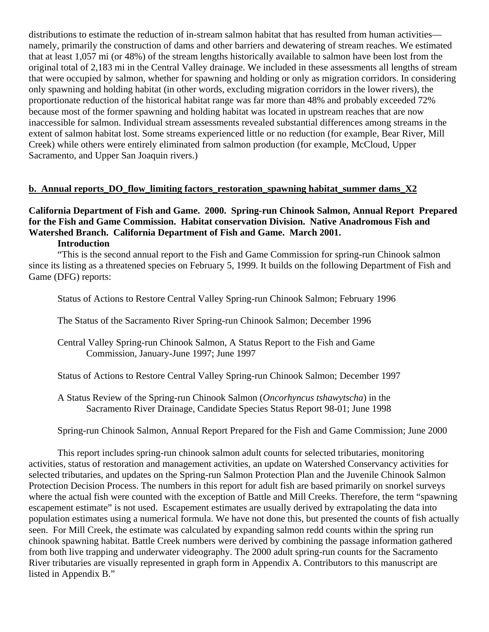distributions to estimate the reduction of in-stream salmon habitat that has resulted from human activities namely, primarily the construction of dams and other barriers and dewatering of stream reaches. We estimated that at least 1,057 mi (or 48%) of the stream lengths historically available to salmon have been lost from the original total of 2,183 mi in the Central Valley drainage. We included in these assessments all lengths of stream that were occupied by salmon, whether for spawning and holding or only as migration corridors. In considering only spawning and holding habitat (in other words, excluding migration corridors in the lower rivers), the proportionate reduction of the historical habitat range was far more than 48% and probably exceeded 72% because most of the former spawning and holding habitat was located in upstream reaches that are now inaccessible for salmon. Individual stream assessments revealed substantial differences among streams in the extent of salmon habitat lost. Some streams experienced little or no reduction (for example, Bear River, Mill Creek) while others were entirely eliminated from salmon production (for example, McCloud, Upper Sacramento, and Upper San Joaquin rivers.)

## **b. Annual reports\_DO\_flow\_limiting factors\_restoration\_spawning habitat\_summer dams\_X2**

# **California Department of Fish and Game. 2000. Spring-run Chinook Salmon, Annual Report Prepared for the Fish and Game Commission. Habitat conservation Division. Native Anadromous Fish and Watershed Branch. California Department of Fish and Game. March 2001.**

#### **Introduction**

 "This is the second annual report to the Fish and Game Commission for spring-run Chinook salmon since its listing as a threatened species on February 5, 1999. It builds on the following Department of Fish and Game (DFG) reports:

Status of Actions to Restore Central Valley Spring-run Chinook Salmon; February 1996

The Status of the Sacramento River Spring-run Chinook Salmon; December 1996

 Central Valley Spring-run Chinook Salmon, A Status Report to the Fish and Game Commission, January-June 1997; June 1997

Status of Actions to Restore Central Valley Spring-run Chinook Salmon; December 1997

 A Status Review of the Spring-run Chinook Salmon (*Oncorhyncus tshawytscha*) in the Sacramento River Drainage, Candidate Species Status Report 98-01; June 1998

Spring-run Chinook Salmon, Annual Report Prepared for the Fish and Game Commission; June 2000

 This report includes spring-run chinook salmon adult counts for selected tributaries, monitoring activities, status of restoration and management activities, an update on Watershed Conservancy activities for selected tributaries, and updates on the Spring-run Salmon Protection Plan and the Juvenile Chinook Salmon Protection Decision Process. The numbers in this report for adult fish are based primarily on snorkel surveys where the actual fish were counted with the exception of Battle and Mill Creeks. Therefore, the term "spawning escapement estimate" is not used. Escapement estimates are usually derived by extrapolating the data into population estimates using a numerical formula. We have not done this, but presented the counts of fish actually seen. For Mill Creek, the estimate was calculated by expanding salmon redd counts within the spring run chinook spawning habitat. Battle Creek numbers were derived by combining the passage information gathered from both live trapping and underwater videography. The 2000 adult spring-run counts for the Sacramento River tributaries are visually represented in graph form in Appendix A. Contributors to this manuscript are listed in Appendix B."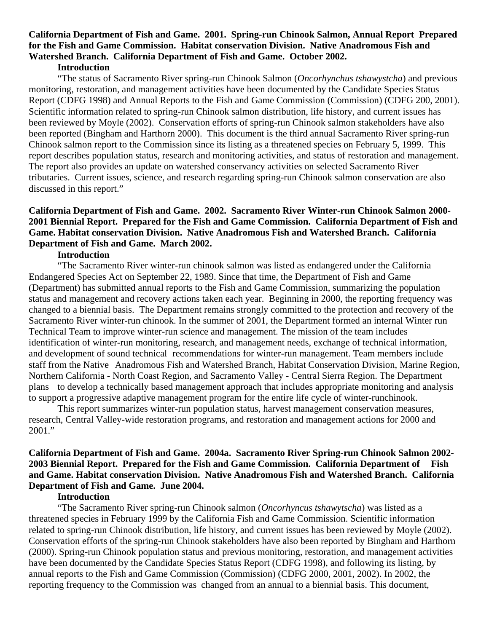#### **California Department of Fish and Game. 2001. Spring-run Chinook Salmon, Annual Report Prepared for the Fish and Game Commission. Habitat conservation Division. Native Anadromous Fish and Watershed Branch. California Department of Fish and Game. October 2002. Introduction**

 "The status of Sacramento River spring-run Chinook Salmon (*Oncorhynchus tshawystcha*) and previous monitoring, restoration, and management activities have been documented by the Candidate Species Status Report (CDFG 1998) and Annual Reports to the Fish and Game Commission (Commission) (CDFG 200, 2001). Scientific information related to spring-run Chinook salmon distribution, life history, and current issues has been reviewed by Moyle (2002). Conservation efforts of spring-run Chinook salmon stakeholders have also been reported (Bingham and Harthorn 2000). This document is the third annual Sacramento River spring-run Chinook salmon report to the Commission since its listing as a threatened species on February 5, 1999. This report describes population status, research and monitoring activities, and status of restoration and management. The report also provides an update on watershed conservancy activities on selected Sacramento River tributaries. Current issues, science, and research regarding spring-run Chinook salmon conservation are also discussed in this report."

## **California Department of Fish and Game. 2002. Sacramento River Winter-run Chinook Salmon 2000- 2001 Biennial Report. Prepared for the Fish and Game Commission. California Department of Fish and Game. Habitat conservation Division. Native Anadromous Fish and Watershed Branch. California Department of Fish and Game. March 2002.**

#### **Introduction**

 "The Sacramento River winter-run chinook salmon was listed as endangered under the California Endangered Species Act on September 22, 1989. Since that time, the Department of Fish and Game (Department) has submitted annual reports to the Fish and Game Commission, summarizing the population status and management and recovery actions taken each year. Beginning in 2000, the reporting frequency was changed to a biennial basis. The Department remains strongly committed to the protection and recovery of the Sacramento River winter-run chinook. In the summer of 2001, the Department formed an internal Winter run Technical Team to improve winter-run science and management. The mission of the team includes identification of winter-run monitoring, research, and management needs, exchange of technical information, and development of sound technical recommendations for winter-run management. Team members include staff from the Native Anadromous Fish and Watershed Branch, Habitat Conservation Division, Marine Region, Northern California - North Coast Region, and Sacramento Valley - Central Sierra Region. The Department plans to develop a technically based management approach that includes appropriate monitoring and analysis to support a progressive adaptive management program for the entire life cycle of winter-runchinook.

 This report summarizes winter-run population status, harvest management conservation measures, research, Central Valley-wide restoration programs, and restoration and management actions for 2000 and 2001."

## **California Department of Fish and Game. 2004a. Sacramento River Spring-run Chinook Salmon 2002- 2003 Biennial Report. Prepared for the Fish and Game Commission. California Department of Fish and Game. Habitat conservation Division. Native Anadromous Fish and Watershed Branch. California Department of Fish and Game. June 2004.**

#### **Introduction**

 "The Sacramento River spring-run Chinook salmon (*Oncorhyncus tshawytscha*) was listed as a threatened species in February 1999 by the California Fish and Game Commission. Scientific information related to spring-run Chinook distribution, life history, and current issues has been reviewed by Moyle (2002). Conservation efforts of the spring-run Chinook stakeholders have also been reported by Bingham and Harthorn (2000). Spring-run Chinook population status and previous monitoring, restoration, and management activities have been documented by the Candidate Species Status Report (CDFG 1998), and following its listing, by annual reports to the Fish and Game Commission (Commission) (CDFG 2000, 2001, 2002). In 2002, the reporting frequency to the Commission was changed from an annual to a biennial basis. This document,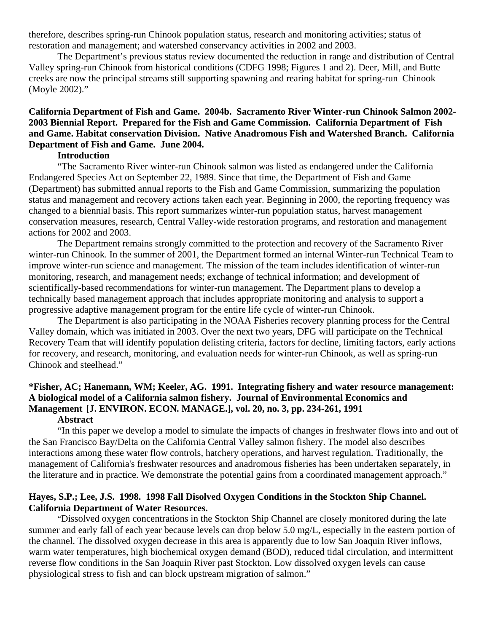therefore, describes spring-run Chinook population status, research and monitoring activities; status of restoration and management; and watershed conservancy activities in 2002 and 2003.

 The Department's previous status review documented the reduction in range and distribution of Central Valley spring-run Chinook from historical conditions (CDFG 1998; Figures 1 and 2). Deer, Mill, and Butte creeks are now the principal streams still supporting spawning and rearing habitat for spring-run Chinook (Moyle 2002)."

#### **California Department of Fish and Game. 2004b. Sacramento River Winter-run Chinook Salmon 2002- 2003 Biennial Report. Prepared for the Fish and Game Commission. California Department of Fish and Game. Habitat conservation Division. Native Anadromous Fish and Watershed Branch. California Department of Fish and Game. June 2004.**

### **Introduction**

 "The Sacramento River winter-run Chinook salmon was listed as endangered under the California Endangered Species Act on September 22, 1989. Since that time, the Department of Fish and Game (Department) has submitted annual reports to the Fish and Game Commission, summarizing the population status and management and recovery actions taken each year. Beginning in 2000, the reporting frequency was changed to a biennial basis. This report summarizes winter-run population status, harvest management conservation measures, research, Central Valley-wide restoration programs, and restoration and management actions for 2002 and 2003.

 The Department remains strongly committed to the protection and recovery of the Sacramento River winter-run Chinook. In the summer of 2001, the Department formed an internal Winter-run Technical Team to improve winter-run science and management. The mission of the team includes identification of winter-run monitoring, research, and management needs; exchange of technical information; and development of scientifically-based recommendations for winter-run management. The Department plans to develop a technically based management approach that includes appropriate monitoring and analysis to support a progressive adaptive management program for the entire life cycle of winter-run Chinook.

 The Department is also participating in the NOAA Fisheries recovery planning process for the Central Valley domain, which was initiated in 2003. Over the next two years, DFG will participate on the Technical Recovery Team that will identify population delisting criteria, factors for decline, limiting factors, early actions for recovery, and research, monitoring, and evaluation needs for winter-run Chinook, as well as spring-run Chinook and steelhead."

# **\*Fisher, AC; Hanemann, WM; Keeler, AG. 1991. Integrating fishery and water resource management: A biological model of a California salmon fishery. Journal of Environmental Economics and Management [J. ENVIRON. ECON. MANAGE.], vol. 20, no. 3, pp. 234-261, 1991**

#### **Abstract**

 "In this paper we develop a model to simulate the impacts of changes in freshwater flows into and out of the San Francisco Bay/Delta on the California Central Valley salmon fishery. The model also describes interactions among these water flow controls, hatchery operations, and harvest regulation. Traditionally, the management of California's freshwater resources and anadromous fisheries has been undertaken separately, in the literature and in practice. We demonstrate the potential gains from a coordinated management approach."

#### **Hayes, S.P.; Lee, J.S. 1998. 1998 Fall Disolved Oxygen Conditions in the Stockton Ship Channel. California Department of Water Resources.**

 "Dissolved oxygen concentrations in the Stockton Ship Channel are closely monitored during the late summer and early fall of each year because levels can drop below 5.0 mg/L, especially in the eastern portion of the channel. The dissolved oxygen decrease in this area is apparently due to low San Joaquin River inflows, warm water temperatures, high biochemical oxygen demand (BOD), reduced tidal circulation, and intermittent reverse flow conditions in the San Joaquin River past Stockton. Low dissolved oxygen levels can cause physiological stress to fish and can block upstream migration of salmon."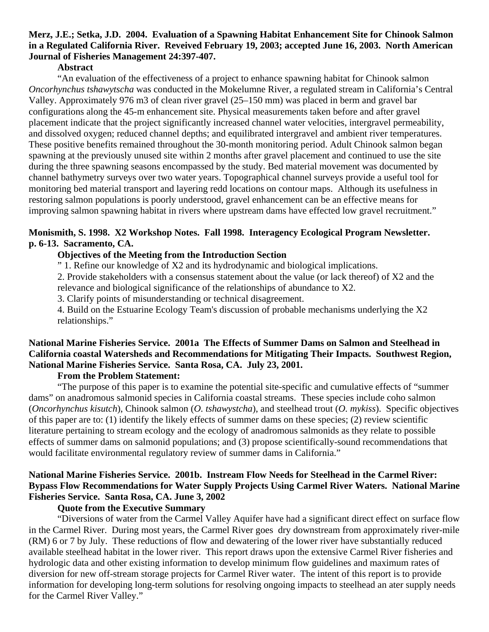## **Merz, J.E.; Setka, J.D. 2004. Evaluation of a Spawning Habitat Enhancement Site for Chinook Salmon in a Regulated California River. Reveived February 19, 2003; accepted June 16, 2003. North American Journal of Fisheries Management 24:397-407.**

#### **Abstract**

 "An evaluation of the effectiveness of a project to enhance spawning habitat for Chinook salmon *Oncorhynchus tshawytscha* was conducted in the Mokelumne River, a regulated stream in California's Central Valley. Approximately 976 m3 of clean river gravel (25–150 mm) was placed in berm and gravel bar configurations along the 45-m enhancement site. Physical measurements taken before and after gravel placement indicate that the project significantly increased channel water velocities, intergravel permeability, and dissolved oxygen; reduced channel depths; and equilibrated intergravel and ambient river temperatures. These positive benefits remained throughout the 30-month monitoring period. Adult Chinook salmon began spawning at the previously unused site within 2 months after gravel placement and continued to use the site during the three spawning seasons encompassed by the study. Bed material movement was documented by channel bathymetry surveys over two water years. Topographical channel surveys provide a useful tool for monitoring bed material transport and layering redd locations on contour maps. Although its usefulness in restoring salmon populations is poorly understood, gravel enhancement can be an effective means for improving salmon spawning habitat in rivers where upstream dams have effected low gravel recruitment."

## **Monismith, S. 1998. X2 Workshop Notes. Fall 1998. Interagency Ecological Program Newsletter. p. 6-13. Sacramento, CA.**

#### **Objectives of the Meeting from the Introduction Section**

" 1. Refine our knowledge of X2 and its hydrodynamic and biological implications.

2. Provide stakeholders with a consensus statement about the value (or lack thereof) of X2 and the

relevance and biological significance of the relationships of abundance to X2.

3. Clarify points of misunderstanding or technical disagreement.

 4. Build on the Estuarine Ecology Team's discussion of probable mechanisms underlying the X2 relationships."

# **National Marine Fisheries Service. 2001a The Effects of Summer Dams on Salmon and Steelhead in California coastal Watersheds and Recommendations for Mitigating Their Impacts. Southwest Region, National Marine Fisheries Service. Santa Rosa, CA. July 23, 2001.**

#### **From the Problem Statement:**

 "The purpose of this paper is to examine the potential site-specific and cumulative effects of "summer dams" on anadromous salmonid species in California coastal streams. These species include coho salmon (*Oncorhynchus kisutch*), Chinook salmon (*O. tshawystcha*), and steelhead trout (*O. mykiss*). Specific objectives of this paper are to: (1) identify the likely effects of summer dams on these species; (2) review scientific literature pertaining to stream ecology and the ecology of anadromous salmonids as they relate to possible effects of summer dams on salmonid populations; and (3) propose scientifically-sound recommendations that would facilitate environmental regulatory review of summer dams in California."

# **National Marine Fisheries Service. 2001b. Instream Flow Needs for Steelhead in the Carmel River: Bypass Flow Recommendations for Water Supply Projects Using Carmel River Waters. National Marine Fisheries Service. Santa Rosa, CA. June 3, 2002**

#### **Quote from the Executive Summary**

"Diversions of water from the Carmel Valley Aquifer have had a significant direct effect on surface flow in the Carmel River. During most years, the Carmel River goes dry downstream from approximately river-mile (RM) 6 or 7 by July. These reductions of flow and dewatering of the lower river have substantially reduced available steelhead habitat in the lower river. This report draws upon the extensive Carmel River fisheries and hydrologic data and other existing information to develop minimum flow guidelines and maximum rates of diversion for new off-stream storage projects for Carmel River water. The intent of this report is to provide information for developing long-term solutions for resolving ongoing impacts to steelhead an ater supply needs for the Carmel River Valley."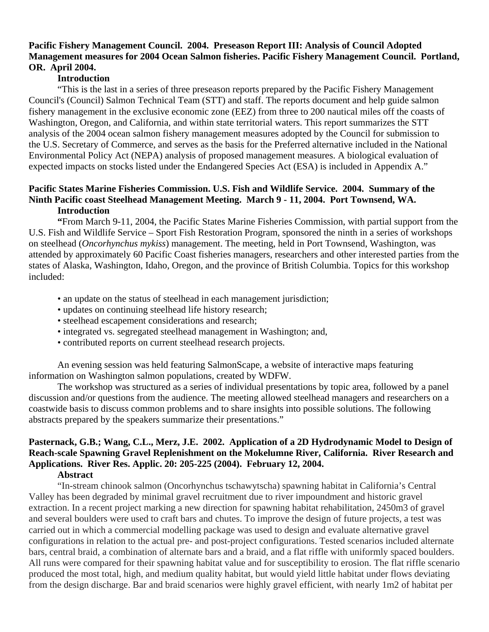# **Pacific Fishery Management Council. 2004. Preseason Report III: Analysis of Council Adopted Management measures for 2004 Ocean Salmon fisheries. Pacific Fishery Management Council. Portland, OR. April 2004.**

# **Introduction**

 "This is the last in a series of three preseason reports prepared by the Pacific Fishery Management Council's (Council) Salmon Technical Team (STT) and staff. The reports document and help guide salmon fishery management in the exclusive economic zone (EEZ) from three to 200 nautical miles off the coasts of Washington, Oregon, and California, and within state territorial waters. This report summarizes the STT analysis of the 2004 ocean salmon fishery management measures adopted by the Council for submission to the U.S. Secretary of Commerce, and serves as the basis for the Preferred alternative included in the National Environmental Policy Act (NEPA) analysis of proposed management measures. A biological evaluation of expected impacts on stocks listed under the Endangered Species Act (ESA) is included in Appendix A."

# **Pacific States Marine Fisheries Commission. U.S. Fish and Wildlife Service. 2004. Summary of the Ninth Pacific coast Steelhead Management Meeting. March 9 - 11, 2004. Port Townsend, WA. Introduction**

 **"**From March 9-11, 2004, the Pacific States Marine Fisheries Commission, with partial support from the U.S. Fish and Wildlife Service – Sport Fish Restoration Program, sponsored the ninth in a series of workshops on steelhead (*Oncorhynchus mykiss*) management. The meeting, held in Port Townsend, Washington, was attended by approximately 60 Pacific Coast fisheries managers, researchers and other interested parties from the states of Alaska, Washington, Idaho, Oregon, and the province of British Columbia. Topics for this workshop included:

- an update on the status of steelhead in each management jurisdiction;
- updates on continuing steelhead life history research;
- steelhead escapement considerations and research;
- integrated vs. segregated steelhead management in Washington; and,
- contributed reports on current steelhead research projects.

 An evening session was held featuring SalmonScape, a website of interactive maps featuring information on Washington salmon populations, created by WDFW.

 The workshop was structured as a series of individual presentations by topic area, followed by a panel discussion and/or questions from the audience. The meeting allowed steelhead managers and researchers on a coastwide basis to discuss common problems and to share insights into possible solutions. The following abstracts prepared by the speakers summarize their presentations."

# **Pasternack, G.B.; Wang, C.L., Merz, J.E. 2002. Application of a 2D Hydrodynamic Model to Design of Reach-scale Spawning Gravel Replenishment on the Mokelumne River, California. River Research and Applications. River Res. Applic. 20: 205-225 (2004). February 12, 2004.**

#### **Abstract**

 "In-stream chinook salmon (Oncorhynchus tschawytscha) spawning habitat in California's Central Valley has been degraded by minimal gravel recruitment due to river impoundment and historic gravel extraction. In a recent project marking a new direction for spawning habitat rehabilitation, 2450m3 of gravel and several boulders were used to craft bars and chutes. To improve the design of future projects, a test was carried out in which a commercial modelling package was used to design and evaluate alternative gravel configurations in relation to the actual pre- and post-project configurations. Tested scenarios included alternate bars, central braid, a combination of alternate bars and a braid, and a flat riffle with uniformly spaced boulders. All runs were compared for their spawning habitat value and for susceptibility to erosion. The flat riffle scenario produced the most total, high, and medium quality habitat, but would yield little habitat under flows deviating from the design discharge. Bar and braid scenarios were highly gravel efficient, with nearly 1m2 of habitat per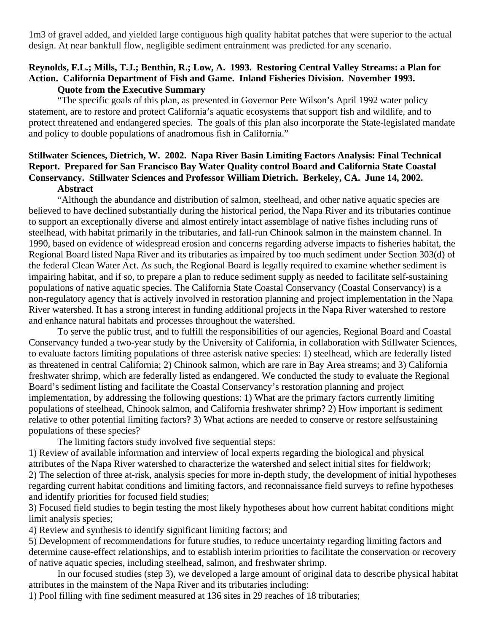1m3 of gravel added, and yielded large contiguous high quality habitat patches that were superior to the actual design. At near bankfull flow, negligible sediment entrainment was predicted for any scenario.

#### **Reynolds, F.L.; Mills, T.J.; Benthin, R.; Low, A. 1993. Restoring Central Valley Streams: a Plan for Action. California Department of Fish and Game. Inland Fisheries Division. November 1993. Quote from the Executive Summary**

 "The specific goals of this plan, as presented in Governor Pete Wilson's April 1992 water policy statement, are to restore and protect California's aquatic ecosystems that support fish and wildlife, and to protect threatened and endangered species. The goals of this plan also incorporate the State-legislated mandate and policy to double populations of anadromous fish in California."

# **Stillwater Sciences, Dietrich, W. 2002. Napa River Basin Limiting Factors Analysis: Final Technical Report. Prepared for San Francisco Bay Water Quality control Board and California State Coastal Conservancy. Stillwater Sciences and Professor William Dietrich. Berkeley, CA. June 14, 2002. Abstract**

 "Although the abundance and distribution of salmon, steelhead, and other native aquatic species are believed to have declined substantially during the historical period, the Napa River and its tributaries continue to support an exceptionally diverse and almost entirely intact assemblage of native fishes including runs of steelhead, with habitat primarily in the tributaries, and fall-run Chinook salmon in the mainstem channel. In 1990, based on evidence of widespread erosion and concerns regarding adverse impacts to fisheries habitat, the Regional Board listed Napa River and its tributaries as impaired by too much sediment under Section 303(d) of the federal Clean Water Act. As such, the Regional Board is legally required to examine whether sediment is impairing habitat, and if so, to prepare a plan to reduce sediment supply as needed to facilitate self-sustaining populations of native aquatic species. The California State Coastal Conservancy (Coastal Conservancy) is a non-regulatory agency that is actively involved in restoration planning and project implementation in the Napa River watershed. It has a strong interest in funding additional projects in the Napa River watershed to restore and enhance natural habitats and processes throughout the watershed.

 To serve the public trust, and to fulfill the responsibilities of our agencies, Regional Board and Coastal Conservancy funded a two-year study by the University of California, in collaboration with Stillwater Sciences, to evaluate factors limiting populations of three asterisk native species: 1) steelhead, which are federally listed as threatened in central California; 2) Chinook salmon, which are rare in Bay Area streams; and 3) California freshwater shrimp, which are federally listed as endangered. We conducted the study to evaluate the Regional Board's sediment listing and facilitate the Coastal Conservancy's restoration planning and project implementation, by addressing the following questions: 1) What are the primary factors currently limiting populations of steelhead, Chinook salmon, and California freshwater shrimp? 2) How important is sediment relative to other potential limiting factors? 3) What actions are needed to conserve or restore selfsustaining populations of these species?

The limiting factors study involved five sequential steps:

1) Review of available information and interview of local experts regarding the biological and physical attributes of the Napa River watershed to characterize the watershed and select initial sites for fieldwork; 2) The selection of three at-risk, analysis species for more in-depth study, the development of initial hypotheses regarding current habitat conditions and limiting factors, and reconnaissance field surveys to refine hypotheses and identify priorities for focused field studies;

3) Focused field studies to begin testing the most likely hypotheses about how current habitat conditions might limit analysis species;

4) Review and synthesis to identify significant limiting factors; and

5) Development of recommendations for future studies, to reduce uncertainty regarding limiting factors and determine cause-effect relationships, and to establish interim priorities to facilitate the conservation or recovery of native aquatic species, including steelhead, salmon, and freshwater shrimp.

 In our focused studies (step 3), we developed a large amount of original data to describe physical habitat attributes in the mainstem of the Napa River and its tributaries including:

1) Pool filling with fine sediment measured at 136 sites in 29 reaches of 18 tributaries;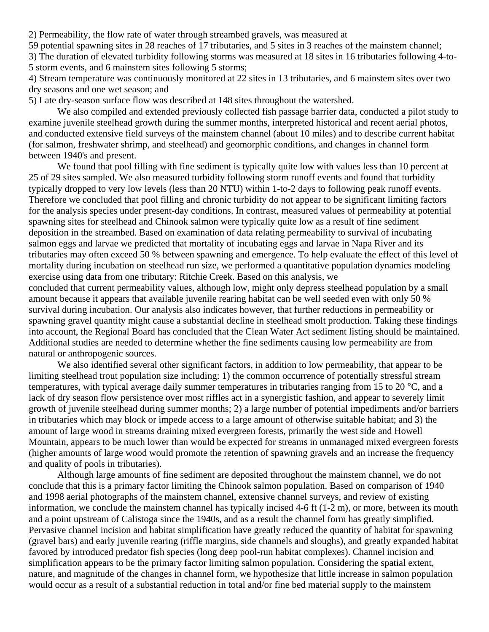2) Permeability, the flow rate of water through streambed gravels, was measured at

59 potential spawning sites in 28 reaches of 17 tributaries, and 5 sites in 3 reaches of the mainstem channel;

3) The duration of elevated turbidity following storms was measured at 18 sites in 16 tributaries following 4-to-5 storm events, and 6 mainstem sites following 5 storms;

4) Stream temperature was continuously monitored at 22 sites in 13 tributaries, and 6 mainstem sites over two dry seasons and one wet season; and

5) Late dry-season surface flow was described at 148 sites throughout the watershed.

 We also compiled and extended previously collected fish passage barrier data, conducted a pilot study to examine juvenile steelhead growth during the summer months, interpreted historical and recent aerial photos, and conducted extensive field surveys of the mainstem channel (about 10 miles) and to describe current habitat (for salmon, freshwater shrimp, and steelhead) and geomorphic conditions, and changes in channel form between 1940's and present.

 We found that pool filling with fine sediment is typically quite low with values less than 10 percent at 25 of 29 sites sampled. We also measured turbidity following storm runoff events and found that turbidity typically dropped to very low levels (less than 20 NTU) within 1-to-2 days to following peak runoff events. Therefore we concluded that pool filling and chronic turbidity do not appear to be significant limiting factors for the analysis species under present-day conditions. In contrast, measured values of permeability at potential spawning sites for steelhead and Chinook salmon were typically quite low as a result of fine sediment deposition in the streambed. Based on examination of data relating permeability to survival of incubating salmon eggs and larvae we predicted that mortality of incubating eggs and larvae in Napa River and its tributaries may often exceed 50 % between spawning and emergence. To help evaluate the effect of this level of mortality during incubation on steelhead run size, we performed a quantitative population dynamics modeling exercise using data from one tributary: Ritchie Creek. Based on this analysis, we

concluded that current permeability values, although low, might only depress steelhead population by a small amount because it appears that available juvenile rearing habitat can be well seeded even with only 50 % survival during incubation. Our analysis also indicates however, that further reductions in permeability or spawning gravel quantity might cause a substantial decline in steelhead smolt production. Taking these findings into account, the Regional Board has concluded that the Clean Water Act sediment listing should be maintained. Additional studies are needed to determine whether the fine sediments causing low permeability are from natural or anthropogenic sources.

We also identified several other significant factors, in addition to low permeability, that appear to be limiting steelhead trout population size including: 1) the common occurrence of potentially stressful stream temperatures, with typical average daily summer temperatures in tributaries ranging from 15 to 20 °C, and a lack of dry season flow persistence over most riffles act in a synergistic fashion, and appear to severely limit growth of juvenile steelhead during summer months; 2) a large number of potential impediments and/or barriers in tributaries which may block or impede access to a large amount of otherwise suitable habitat; and 3) the amount of large wood in streams draining mixed evergreen forests, primarily the west side and Howell Mountain, appears to be much lower than would be expected for streams in unmanaged mixed evergreen forests (higher amounts of large wood would promote the retention of spawning gravels and an increase the frequency and quality of pools in tributaries).

 Although large amounts of fine sediment are deposited throughout the mainstem channel, we do not conclude that this is a primary factor limiting the Chinook salmon population. Based on comparison of 1940 and 1998 aerial photographs of the mainstem channel, extensive channel surveys, and review of existing information, we conclude the mainstem channel has typically incised 4-6 ft (1-2 m), or more, between its mouth and a point upstream of Calistoga since the 1940s, and as a result the channel form has greatly simplified. Pervasive channel incision and habitat simplification have greatly reduced the quantity of habitat for spawning (gravel bars) and early juvenile rearing (riffle margins, side channels and sloughs), and greatly expanded habitat favored by introduced predator fish species (long deep pool-run habitat complexes). Channel incision and simplification appears to be the primary factor limiting salmon population. Considering the spatial extent, nature, and magnitude of the changes in channel form, we hypothesize that little increase in salmon population would occur as a result of a substantial reduction in total and/or fine bed material supply to the mainstem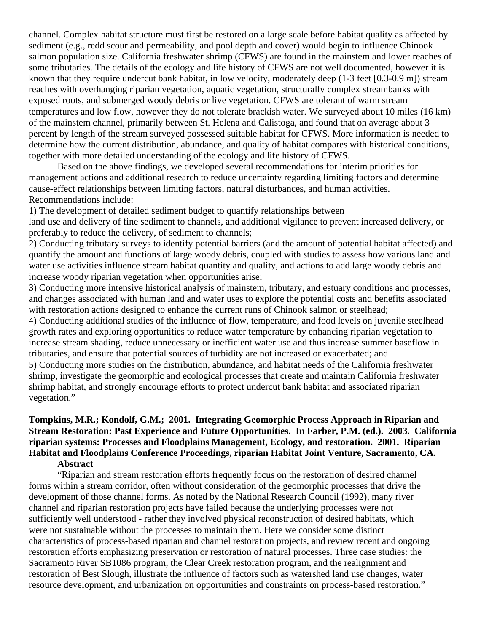channel. Complex habitat structure must first be restored on a large scale before habitat quality as affected by sediment (e.g., redd scour and permeability, and pool depth and cover) would begin to influence Chinook salmon population size. California freshwater shrimp (CFWS) are found in the mainstem and lower reaches of some tributaries. The details of the ecology and life history of CFWS are not well documented, however it is known that they require undercut bank habitat, in low velocity, moderately deep (1-3 feet [0.3-0.9 m]) stream reaches with overhanging riparian vegetation, aquatic vegetation, structurally complex streambanks with exposed roots, and submerged woody debris or live vegetation. CFWS are tolerant of warm stream temperatures and low flow, however they do not tolerate brackish water. We surveyed about 10 miles (16 km) of the mainstem channel, primarily between St. Helena and Calistoga, and found that on average about 3 percent by length of the stream surveyed possessed suitable habitat for CFWS. More information is needed to determine how the current distribution, abundance, and quality of habitat compares with historical conditions, together with more detailed understanding of the ecology and life history of CFWS.

 Based on the above findings, we developed several recommendations for interim priorities for management actions and additional research to reduce uncertainty regarding limiting factors and determine cause-effect relationships between limiting factors, natural disturbances, and human activities. Recommendations include:

1) The development of detailed sediment budget to quantify relationships between

land use and delivery of fine sediment to channels, and additional vigilance to prevent increased delivery, or preferably to reduce the delivery, of sediment to channels;

2) Conducting tributary surveys to identify potential barriers (and the amount of potential habitat affected) and quantify the amount and functions of large woody debris, coupled with studies to assess how various land and water use activities influence stream habitat quantity and quality, and actions to add large woody debris and increase woody riparian vegetation when opportunities arise;

3) Conducting more intensive historical analysis of mainstem, tributary, and estuary conditions and processes, and changes associated with human land and water uses to explore the potential costs and benefits associated with restoration actions designed to enhance the current runs of Chinook salmon or steelhead;

4) Conducting additional studies of the influence of flow, temperature, and food levels on juvenile steelhead growth rates and exploring opportunities to reduce water temperature by enhancing riparian vegetation to increase stream shading, reduce unnecessary or inefficient water use and thus increase summer baseflow in tributaries, and ensure that potential sources of turbidity are not increased or exacerbated; and 5) Conducting more studies on the distribution, abundance, and habitat needs of the California freshwater shrimp, investigate the geomorphic and ecological processes that create and maintain California freshwater shrimp habitat, and strongly encourage efforts to protect undercut bank habitat and associated riparian vegetation."

## **Tompkins, M.R.; Kondolf, G.M.; 2001. Integrating Geomorphic Process Approach in Riparian and Stream Restoration: Past Experience and Future Opportunities. In Farber, P.M. (ed.). 2003. California riparian systems: Processes and Floodplains Management, Ecology, and restoration. 2001. Riparian Habitat and Floodplains Conference Proceedings, riparian Habitat Joint Venture, Sacramento, CA. Abstract**

 "Riparian and stream restoration efforts frequently focus on the restoration of desired channel forms within a stream corridor, often without consideration of the geomorphic processes that drive the development of those channel forms. As noted by the National Research Council (1992), many river channel and riparian restoration projects have failed because the underlying processes were not sufficiently well understood - rather they involved physical reconstruction of desired habitats, which were not sustainable without the processes to maintain them. Here we consider some distinct characteristics of process-based riparian and channel restoration projects, and review recent and ongoing restoration efforts emphasizing preservation or restoration of natural processes. Three case studies: the Sacramento River SB1086 program, the Clear Creek restoration program, and the realignment and restoration of Best Slough, illustrate the influence of factors such as watershed land use changes, water resource development, and urbanization on opportunities and constraints on process-based restoration."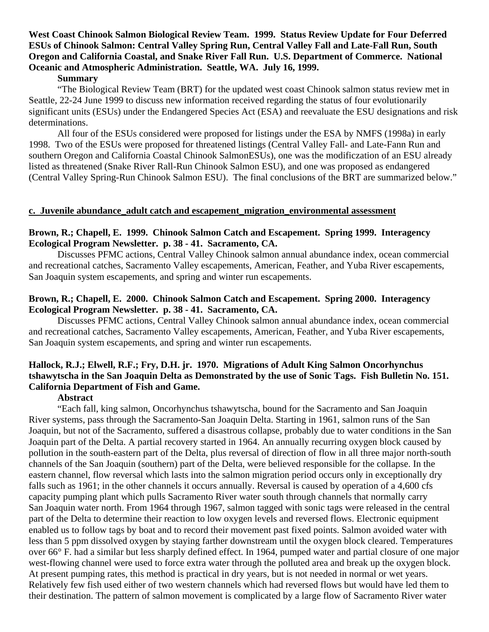## **West Coast Chinook Salmon Biological Review Team. 1999. Status Review Update for Four Deferred ESUs of Chinook Salmon: Central Valley Spring Run, Central Valley Fall and Late-Fall Run, South Oregon and California Coastal, and Snake River Fall Run. U.S. Department of Commerce. National Oceanic and Atmospheric Administration. Seattle, WA. July 16, 1999.**

#### **Summary**

 "The Biological Review Team (BRT) for the updated west coast Chinook salmon status review met in Seattle, 22-24 June 1999 to discuss new information received regarding the status of four evolutionarily significant units (ESUs) under the Endangered Species Act (ESA) and reevaluate the ESU designations and risk determinations.

 All four of the ESUs considered were proposed for listings under the ESA by NMFS (1998a) in early 1998. Two of the ESUs were proposed for threatened listings (Central Valley Fall- and Late-Fann Run and southern Oregon and California Coastal Chinook SalmonESUs), one was the modificzation of an ESU already listed as threatened (Snake River Rall-Run Chinook Salmon ESU), and one was proposed as endangered (Central Valley Spring-Run Chinook Salmon ESU). The final conclusions of the BRT are summarized below."

#### **c. Juvenile abundance\_adult catch and escapement\_migration\_environmental assessment**

#### **Brown, R.; Chapell, E. 1999. Chinook Salmon Catch and Escapement. Spring 1999. Interagency Ecological Program Newsletter. p. 38 - 41. Sacramento, CA.**

 Discusses PFMC actions, Central Valley Chinook salmon annual abundance index, ocean commercial and recreational catches, Sacramento Valley escapements, American, Feather, and Yuba River escapements, San Joaquin system escapements, and spring and winter run escapements.

## **Brown, R.; Chapell, E. 2000. Chinook Salmon Catch and Escapement. Spring 2000. Interagency Ecological Program Newsletter. p. 38 - 41. Sacramento, CA.**

 Discusses PFMC actions, Central Valley Chinook salmon annual abundance index, ocean commercial and recreational catches, Sacramento Valley escapements, American, Feather, and Yuba River escapements, San Joaquin system escapements, and spring and winter run escapements.

# **Hallock, R.J.; Elwell, R.F.; Fry, D.H. jr. 1970. Migrations of Adult King Salmon Oncorhynchus tshawytscha in the San Joaquin Delta as Demonstrated by the use of Sonic Tags. Fish Bulletin No. 151. California Department of Fish and Game.**

#### **Abstract**

 "Each fall, king salmon, Oncorhynchus tshawytscha, bound for the Sacramento and San Joaquin River systems, pass through the Sacramento-San Joaquin Delta. Starting in 1961, salmon runs of the San Joaquin, but not of the Sacramento, suffered a disastrous collapse, probably due to water conditions in the San Joaquin part of the Delta. A partial recovery started in 1964. An annually recurring oxygen block caused by pollution in the south-eastern part of the Delta, plus reversal of direction of flow in all three major north-south channels of the San Joaquin (southern) part of the Delta, were believed responsible for the collapse. In the eastern channel, flow reversal which lasts into the salmon migration period occurs only in exceptionally dry falls such as 1961; in the other channels it occurs annually. Reversal is caused by operation of a 4,600 cfs capacity pumping plant which pulls Sacramento River water south through channels that normally carry San Joaquin water north. From 1964 through 1967, salmon tagged with sonic tags were released in the central part of the Delta to determine their reaction to low oxygen levels and reversed flows. Electronic equipment enabled us to follow tags by boat and to record their movement past fixed points. Salmon avoided water with less than 5 ppm dissolved oxygen by staying farther downstream until the oxygen block cleared. Temperatures over 66° F. had a similar but less sharply defined effect. In 1964, pumped water and partial closure of one major west-flowing channel were used to force extra water through the polluted area and break up the oxygen block. At present pumping rates, this method is practical in dry years, but is not needed in normal or wet years. Relatively few fish used either of two western channels which had reversed flows but would have led them to their destination. The pattern of salmon movement is complicated by a large flow of Sacramento River water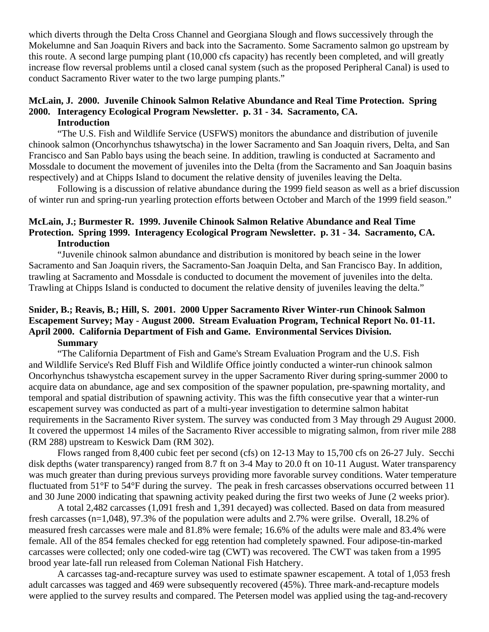which diverts through the Delta Cross Channel and Georgiana Slough and flows successively through the Mokelumne and San Joaquin Rivers and back into the Sacramento. Some Sacramento salmon go upstream by this route. A second large pumping plant (10,000 cfs capacity) has recently been completed, and will greatly increase flow reversal problems until a closed canal system (such as the proposed Peripheral Canal) is used to conduct Sacramento River water to the two large pumping plants."

#### **McLain, J. 2000. Juvenile Chinook Salmon Relative Abundance and Real Time Protection. Spring 2000. Interagency Ecological Program Newsletter. p. 31 - 34. Sacramento, CA. Introduction**

 "The U.S. Fish and Wildlife Service (USFWS) monitors the abundance and distribution of juvenile chinook salmon (Oncorhynchus tshawytscha) in the lower Sacramento and San Joaquin rivers, Delta, and San Francisco and San Pablo bays using the beach seine. In addition, trawling is conducted at Sacramento and Mossdale to document the movement of juveniles into the Delta (from the Sacramento and San Joaquin basins respectively) and at Chipps Island to document the relative density of juveniles leaving the Delta.

Following is a discussion of relative abundance during the 1999 field season as well as a brief discussion of winter run and spring-run yearling protection efforts between October and March of the 1999 field season."

## **McLain, J.; Burmester R. 1999. Juvenile Chinook Salmon Relative Abundance and Real Time Protection. Spring 1999. Interagency Ecological Program Newsletter. p. 31 - 34. Sacramento, CA. Introduction**

 "Juvenile chinook salmon abundance and distribution is monitored by beach seine in the lower Sacramento and San Joaquin rivers, the Sacramento-San Joaquin Delta, and San Francisco Bay. In addition, trawling at Sacramento and Mossdale is conducted to document the movement of juveniles into the delta. Trawling at Chipps Island is conducted to document the relative density of juveniles leaving the delta."

#### **Snider, B.; Reavis, B.; Hill, S. 2001. 2000 Upper Sacramento River Winter-run Chinook Salmon Escapement Survey; May - August 2000. Stream Evaluation Program, Technical Report No. 01-11. April 2000. California Department of Fish and Game. Environmental Services Division. Summary**

 "The California Department of Fish and Game's Stream Evaluation Program and the U.S. Fish and Wildlife Service's Red Bluff Fish and Wildlife Office jointly conducted a winter-run chinook salmon Oncorhynchus tshawystcha escapement survey in the upper Sacramento River during spring-summer 2000 to acquire data on abundance, age and sex composition of the spawner population, pre-spawning mortality, and temporal and spatial distribution of spawning activity. This was the fifth consecutive year that a winter-run escapement survey was conducted as part of a multi-year investigation to determine salmon habitat requirements in the Sacramento River system. The survey was conducted from 3 May through 29 August 2000. It covered the uppermost 14 miles of the Sacramento River accessible to migrating salmon, from river mile 288 (RM 288) upstream to Keswick Dam (RM 302).

 Flows ranged from 8,400 cubic feet per second (cfs) on 12-13 May to 15,700 cfs on 26-27 July. Secchi disk depths (water transparency) ranged from 8.7 ft on 3-4 May to 20.0 ft on 10-11 August. Water transparency was much greater than during previous surveys providing more favorable survey conditions. Water temperature fluctuated from 51°F to 54°F during the survey. The peak in fresh carcasses observations occurred between 11 and 30 June 2000 indicating that spawning activity peaked during the first two weeks of June (2 weeks prior).

 A total 2,482 carcasses (1,091 fresh and 1,391 decayed) was collected. Based on data from measured fresh carcasses (n=1,048), 97.3% of the population were adults and 2.7% were grilse. Overall, 18.2% of measured fresh carcasses were male and 81.8% were female; 16.6% of the adults were male and 83.4% were female. All of the 854 females checked for egg retention had completely spawned. Four adipose-tin-marked carcasses were collected; only one coded-wire tag (CWT) was recovered. The CWT was taken from a 1995 brood year late-fall run released from Coleman National Fish Hatchery.

 A carcasses tag-and-recapture survey was used to estimate spawner escapement. A total of 1,053 fresh adult carcasses was tagged and 469 were subsequently recovered (45%). Three mark-and-recapture models were applied to the survey results and compared. The Petersen model was applied using the tag-and-recovery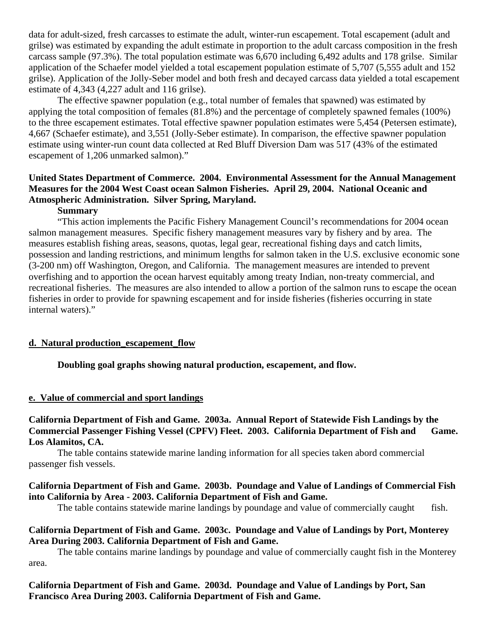data for adult-sized, fresh carcasses to estimate the adult, winter-run escapement. Total escapement (adult and grilse) was estimated by expanding the adult estimate in proportion to the adult carcass composition in the fresh carcass sample (97.3%). The total population estimate was 6,670 including 6,492 adults and 178 grilse. Similar application of the Schaefer model yielded a total escapement population estimate of 5,707 (5,555 adult and 152 grilse). Application of the Jolly-Seber model and both fresh and decayed carcass data yielded a total escapement estimate of 4,343 (4,227 adult and 116 grilse).

 The effective spawner population (e.g., total number of females that spawned) was estimated by applying the total composition of females (81.8%) and the percentage of completely spawned females (100%) to the three escapement estimates. Total effective spawner population estimates were 5,454 (Petersen estimate), 4,667 (Schaefer estimate), and 3,551 (Jolly-Seber estimate). In comparison, the effective spawner population estimate using winter-run count data collected at Red Bluff Diversion Dam was 517 (43% of the estimated escapement of 1,206 unmarked salmon)."

# **United States Department of Commerce. 2004. Environmental Assessment for the Annual Management Measures for the 2004 West Coast ocean Salmon Fisheries. April 29, 2004. National Oceanic and Atmospheric Administration. Silver Spring, Maryland.**

## **Summary**

 "This action implements the Pacific Fishery Management Council's recommendations for 2004 ocean salmon management measures. Specific fishery management measures vary by fishery and by area. The measures establish fishing areas, seasons, quotas, legal gear, recreational fishing days and catch limits, possession and landing restrictions, and minimum lengths for salmon taken in the U.S. exclusive economic sone (3-200 nm) off Washington, Oregon, and California. The management measures are intended to prevent overfishing and to apportion the ocean harvest equitably among treaty Indian, non-treaty commercial, and recreational fisheries. The measures are also intended to allow a portion of the salmon runs to escape the ocean fisheries in order to provide for spawning escapement and for inside fisheries (fisheries occurring in state internal waters)."

#### **d. Natural production\_escapement\_flow**

#### **Doubling goal graphs showing natural production, escapement, and flow.**

#### **e. Value of commercial and sport landings**

**California Department of Fish and Game. 2003a. Annual Report of Statewide Fish Landings by the Commercial Passenger Fishing Vessel (CPFV) Fleet. 2003. California Department of Fish and Game. Los Alamitos, CA.** 

 The table contains statewide marine landing information for all species taken abord commercial passenger fish vessels.

# **California Department of Fish and Game. 2003b. Poundage and Value of Landings of Commercial Fish into California by Area - 2003. California Department of Fish and Game.**

The table contains statewide marine landings by poundage and value of commercially caught fish.

#### **California Department of Fish and Game. 2003c. Poundage and Value of Landings by Port, Monterey Area During 2003. California Department of Fish and Game.**

 The table contains marine landings by poundage and value of commercially caught fish in the Monterey area.

# **California Department of Fish and Game. 2003d. Poundage and Value of Landings by Port, San Francisco Area During 2003. California Department of Fish and Game.**